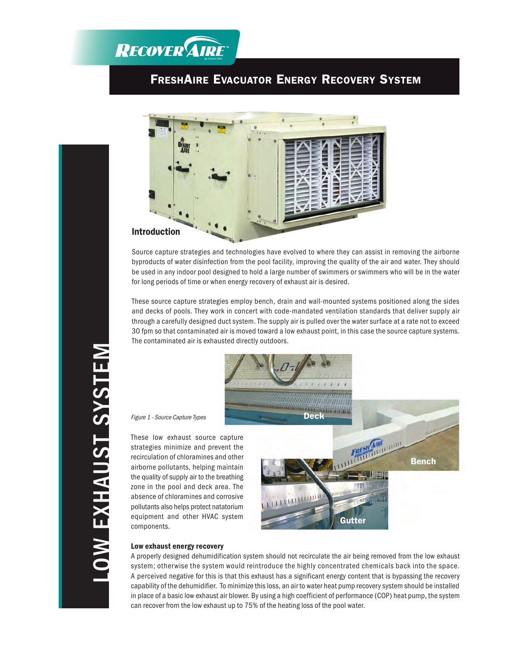## **RECOVER AIRE**

## **FRESHA IRE EVACUATOR ENERGY RECOVERY SYSTEM**



Source capture strategies and technologies have evolved to where they can assist in removing the airborne byproducts of water disinfection from the pool facility, improving the quality of the air and water. They should be used in any indoor pool designed to hold a large number of swimmers or swimmers who will be in the water for long periods of time or when energy recovery of exhaust air is desired.

These source capture strategies employ bench, drain and wall-mounted systems positioned along the sides and decks of pools. They work in concert with code-mandated ventilation standards that deliver supply air through a carefully designed duct system. The supply air is pulled over the water surface at a rate not to exceed 30 fpm so that contaminated air is moved toward a low exhaust point, in this case the source capture systems. The contaminated air is exhausted directly outdoors.



## **Low exhaust energy recovery**

components.

Figure 1 - Source Capture Types

A properly designed dehumidification system should not recirculate the air being removed from the low exhaust system; otherwise the system would reintroduce the highly concentrated chemicals back into the space. A perceived negative for this is that this exhaust has a significant energy content that is bypassing the recovery capability of the dehumidifier. To minimize this loss, an air to water heat pump recovery system should be installed in place of a basic low exhaust air blower. By using a high coefficient of performance (COP) heat pump, the system can recover from the low exhaust up to 75% of the heating loss of the pool water.

LOW EXHAUST SYSTEM LOW EXHAUST SYSTEM